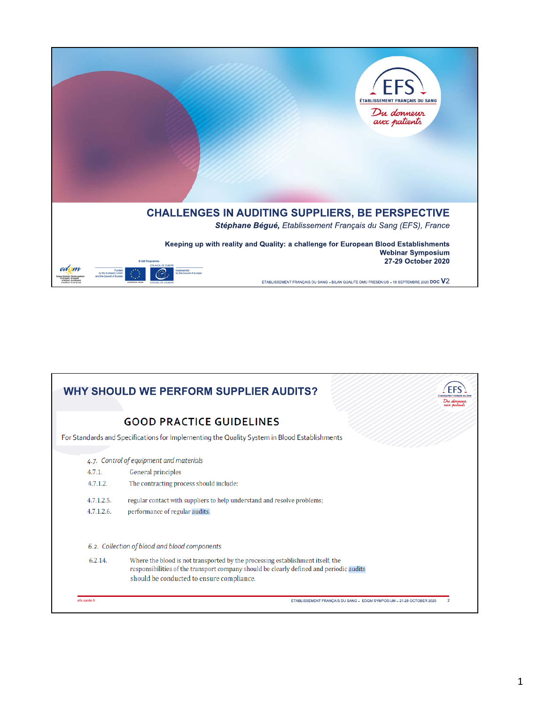

|                             | <b>WHY SHOULD WE PERFORM SUPPLIER AUDITS?</b>                                                                                                                                                                          | aux natients |
|-----------------------------|------------------------------------------------------------------------------------------------------------------------------------------------------------------------------------------------------------------------|--------------|
|                             | <b>GOOD PRACTICE GUIDELINES</b>                                                                                                                                                                                        |              |
|                             | For Standards and Specifications for Implementing the Quality System in Blood Establishments                                                                                                                           |              |
| 4.7.1.<br>4.7.1.2.          | 4.7. Control of equipment and materials<br>General principles<br>The contracting process should include:                                                                                                               |              |
| 4.7.1.2.5.<br>$4.7.1.2.6$ . | regular contact with suppliers to help understand and resolve problems;<br>performance of regular audits.                                                                                                              |              |
|                             | 6.2. Collection of blood and blood components                                                                                                                                                                          |              |
| 6.2.14.                     | Where the blood is not transported by the processing establishment itself, the<br>responsibilities of the transport company should be clearly defined and periodic audits<br>should be conducted to ensure compliance. |              |
| efs.sante.fr                | ETABLISSEMENT FRANCAIS DU SANG - EDQM SYMPOSIUM - 27-29 OCTOBER 2020                                                                                                                                                   |              |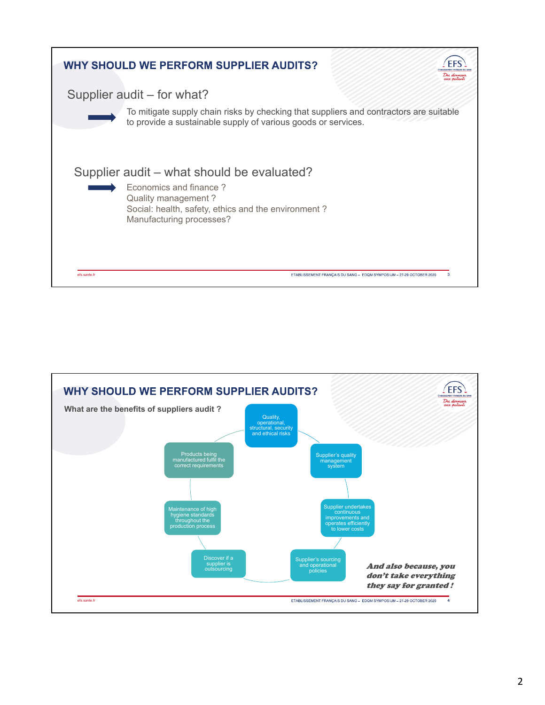

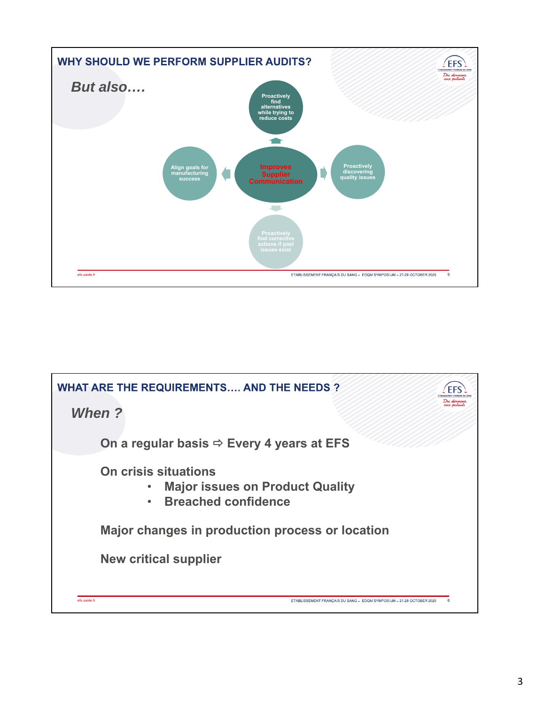

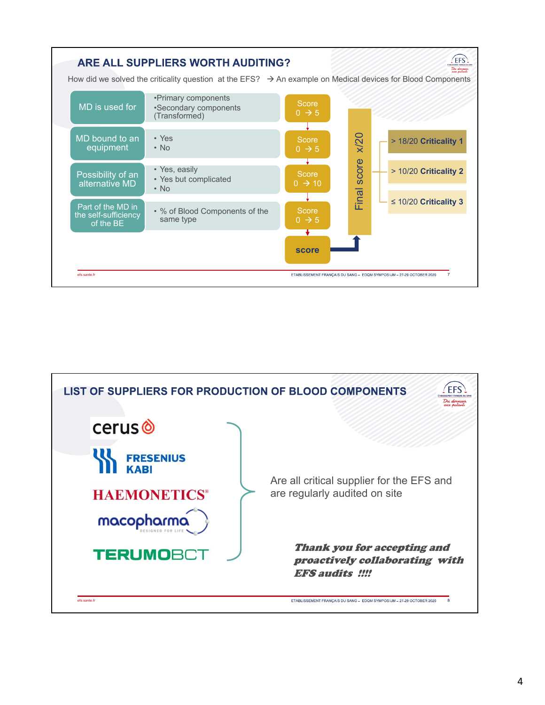

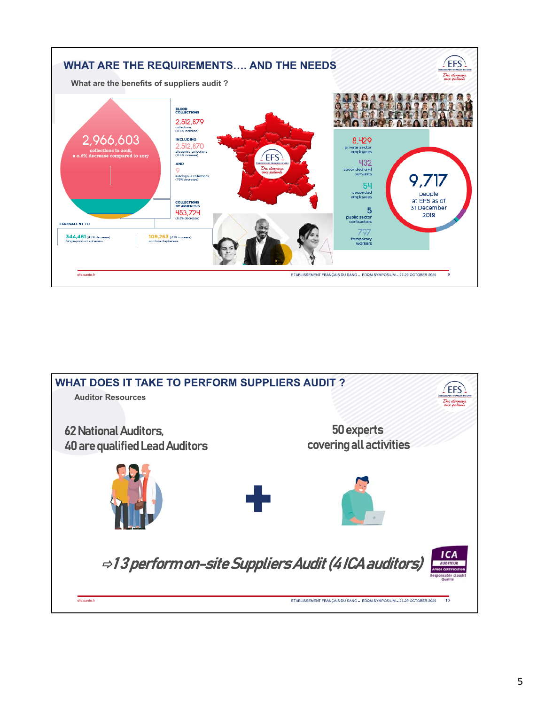

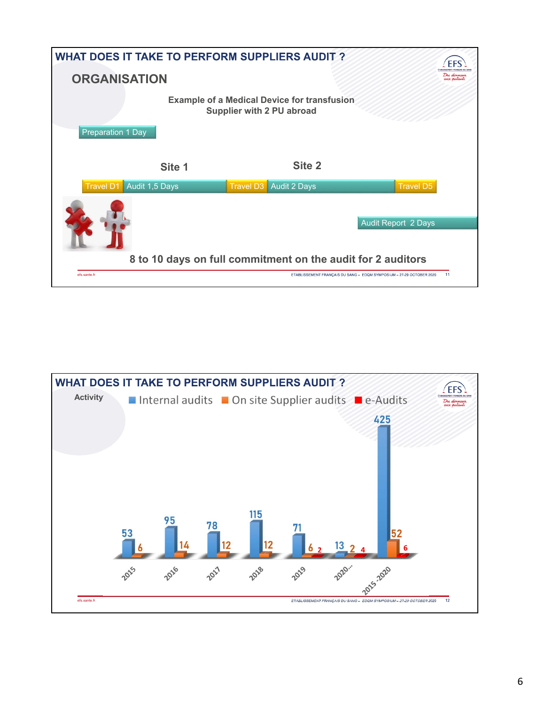| <b>WHAT DOES IT TAKE TO PERFORM SUPPLIERS AUDIT?</b> |                                                                                 |                                                                            |
|------------------------------------------------------|---------------------------------------------------------------------------------|----------------------------------------------------------------------------|
| <b>ORGANISATION</b>                                  |                                                                                 | Du donneur<br>aux patients                                                 |
| <b>Preparation 1 Day</b>                             | <b>Example of a Medical Device for transfusion</b><br>Supplier with 2 PU abroad |                                                                            |
| Site 1                                               | Site 2                                                                          |                                                                            |
| Audit 1,5 Days<br><b>Travel D1</b>                   | Travel D3 Audit 2 Days                                                          | <b>Travel D5</b>                                                           |
|                                                      |                                                                                 | <b>Audit Report 2 Days</b>                                                 |
|                                                      |                                                                                 |                                                                            |
|                                                      | 8 to 10 days on full commitment on the audit for 2 auditors                     |                                                                            |
| efs.sante.fr                                         |                                                                                 | 11<br>ETABLISSEMENT FRANCAIS DU SANG - EDQM SYMPOSIUM - 27-29 OCTOBER 2020 |

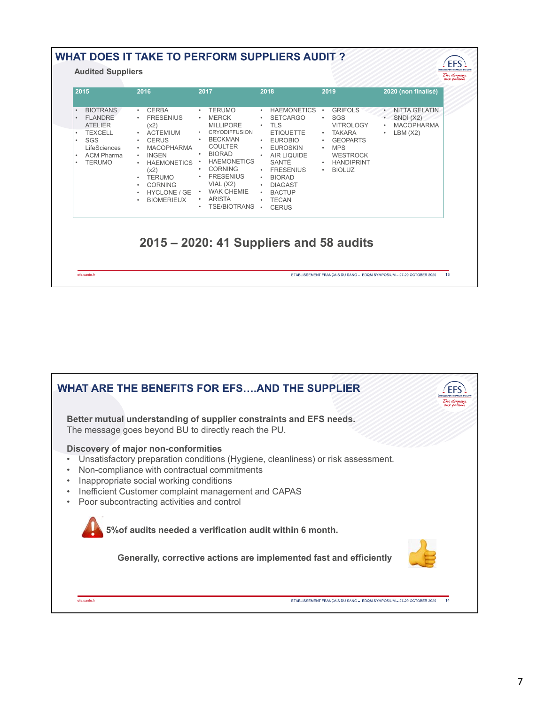| 2015<br>2016                                                                                                                                                                                                                                                                                                                                                                                                                                                | 2017                                                                                                                                                                                                                                                                      | 2018                                                                                                                                                                                                                                                                     | 2019                                                                                                                                                                   | 2020 (non finalisé)                                                                                      |
|-------------------------------------------------------------------------------------------------------------------------------------------------------------------------------------------------------------------------------------------------------------------------------------------------------------------------------------------------------------------------------------------------------------------------------------------------------------|---------------------------------------------------------------------------------------------------------------------------------------------------------------------------------------------------------------------------------------------------------------------------|--------------------------------------------------------------------------------------------------------------------------------------------------------------------------------------------------------------------------------------------------------------------------|------------------------------------------------------------------------------------------------------------------------------------------------------------------------|----------------------------------------------------------------------------------------------------------|
| <b>BIOTRANS</b><br><b>CERBA</b><br>$\bullet$<br><b>FLANDRE</b><br><b>FRESENIUS</b><br><b>ATELIER</b><br>(x2)<br><b>TEXCELL</b><br><b>ACTEMIUM</b><br>$\bullet$<br>$\bullet$<br>SGS<br><b>CERUS</b><br>٠<br>LifeSciences<br><b>MACOPHARMA</b><br><b>ACM Pharma</b><br><b>INGEN</b><br>$\bullet$<br><b>TERUMO</b><br><b>HAEMONETICS</b><br>$\bullet$<br>$\bullet$<br>(x2)<br><b>TERUMO</b><br>٠<br><b>CORNING</b><br><b>HYCLONE / GE</b><br><b>BIOMERIEUX</b> | <b>TERUMO</b><br><b>MERCK</b><br><b>MILLIPORE</b><br><b>CRYODIFFUSION</b><br><b>BECKMAN</b><br><b>COULTER</b><br><b>BIORAD</b><br><b>HAEMONETICS</b><br><b>CORNING</b><br><b>FRESENIUS</b><br>VIAL (X2)<br><b>WAK CHEMIE</b><br><b>ARISTA</b><br>٠<br><b>TSE/BIOTRANS</b> | <b>HAEMONETICS</b><br>$\bullet$<br><b>SETCARGO</b><br><b>TLS</b><br><b>ETIQUETTE</b><br>· EUROBIO<br><b>EUROSKIN</b><br><b>AIR LIQUIDE</b><br>SANTÉ<br><b>FRESENIUS</b><br>$\bullet$<br><b>BIORAD</b><br><b>DIAGAST</b><br><b>BACTUP</b><br><b>TECAN</b><br><b>CERUS</b> | <b>GRIFOLS</b><br>SGS<br><b>VITROLOGY</b><br><b>TAKARA</b><br>$\bullet$<br><b>GEOPARTS</b><br>٠<br><b>MPS</b><br><b>WESTROCK</b><br><b>HANDIPRINT</b><br><b>BIOLUZ</b> | <b>NITTA GELATIN</b><br>$\bullet$<br>SNDI(X2)<br><b>MACOPHARMA</b><br>$\bullet$<br>LBM (X2)<br>$\bullet$ |

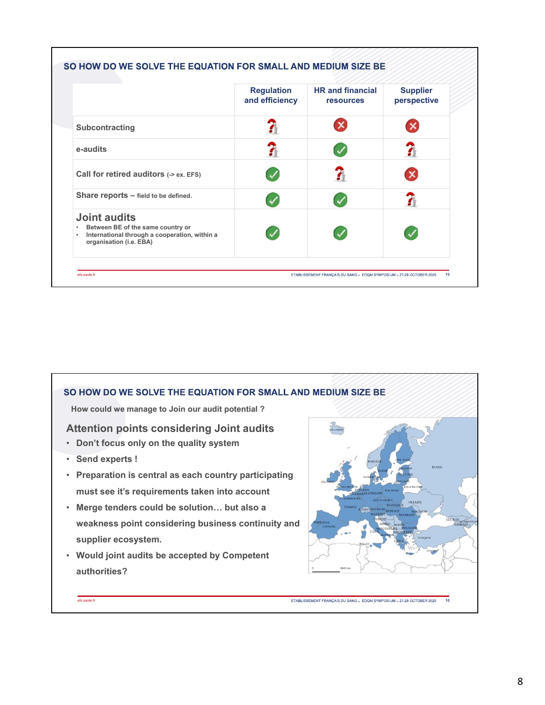|                                                                                                                                      | <b>Regulation</b><br>and efficiency | <b>HR</b> and financial<br><b>resources</b> | <b>Supplier</b><br>perspective |
|--------------------------------------------------------------------------------------------------------------------------------------|-------------------------------------|---------------------------------------------|--------------------------------|
| Subcontracting                                                                                                                       |                                     |                                             |                                |
| e-audits                                                                                                                             | ភ                                   |                                             | 7                              |
| Call for retired auditors (-> ex. EFS)                                                                                               |                                     |                                             |                                |
| Share reports $-$ field to be defined.                                                                                               |                                     |                                             |                                |
| <b>Joint audits</b><br>Between BE of the same country or<br>International through a cooperation, within a<br>organisation (i.e. EBA) |                                     |                                             |                                |

## SO HOW DO WE SOLVE THE EQUATION FOR SMALL AND MEDIUM SIZE BE **How could we manage to Join our audit potential ? Attention points considering Joint audits** • **Don't focus only on the quality system** • **Send experts !** • **Preparation is central as each country participating must see it's requirements taken into account** • **Merge tenders could be solution… but also a weakness point considering business continuity and supplier ecosystem.** • **Would joint audits be accepted by Competent authorities?**efs.sante.fr ETABLISSEMENT FRANÇAIS DU SANG - EDQM SYMPOSIUM - 27-29 OCTOBER 2020 16